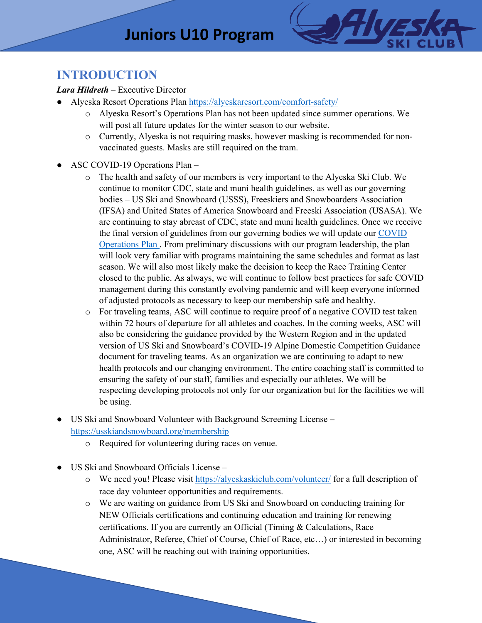# **Juniors U10 Program**



### **INTRODUCTION**

#### *Lara Hildreth* – Executive Director

- Alyeska Resort Operations Plan https://alyeskaresort.com/comfort-safety/
	- o Alyeska Resort's Operations Plan has not been updated since summer operations. We will post all future updates for the winter season to our website.
	- o Currently, Alyeska is not requiring masks, however masking is recommended for nonvaccinated guests. Masks are still required on the tram.
- ASC COVID-19 Operations Plan
	- o The health and safety of our members is very important to the Alyeska Ski Club. We continue to monitor CDC, state and muni health guidelines, as well as our governing bodies – US Ski and Snowboard (USSS), Freeskiers and Snowboarders Association (IFSA) and United States of America Snowboard and Freeski Association (USASA). We are continuing to stay abreast of CDC, state and muni health guidelines. Once we receive the final version of guidelines from our governing bodies we will update our COVID Operations Plan . From preliminary discussions with our program leadership, the plan will look very familiar with programs maintaining the same schedules and format as last season. We will also most likely make the decision to keep the Race Training Center closed to the public. As always, we will continue to follow best practices for safe COVID management during this constantly evolving pandemic and will keep everyone informed of adjusted protocols as necessary to keep our membership safe and healthy.
	- o For traveling teams, ASC will continue to require proof of a negative COVID test taken within 72 hours of departure for all athletes and coaches. In the coming weeks, ASC will also be considering the guidance provided by the Western Region and in the updated version of US Ski and Snowboard's COVID-19 Alpine Domestic Competition Guidance document for traveling teams. As an organization we are continuing to adapt to new health protocols and our changing environment. The entire coaching staff is committed to ensuring the safety of our staff, families and especially our athletes. We will be respecting developing protocols not only for our organization but for the facilities we will be using.
- US Ski and Snowboard Volunteer with Background Screening License https://usskiandsnowboard.org/membership
	- o Required for volunteering during races on venue.
- US Ski and Snowboard Officials License
	- o We need you! Please visit https://alyeskaskiclub.com/volunteer/ for a full description of race day volunteer opportunities and requirements.
	- o We are waiting on guidance from US Ski and Snowboard on conducting training for NEW Officials certifications and continuing education and training for renewing certifications. If you are currently an Official (Timing & Calculations, Race Administrator, Referee, Chief of Course, Chief of Race, etc…) or interested in becoming one, ASC will be reaching out with training opportunities.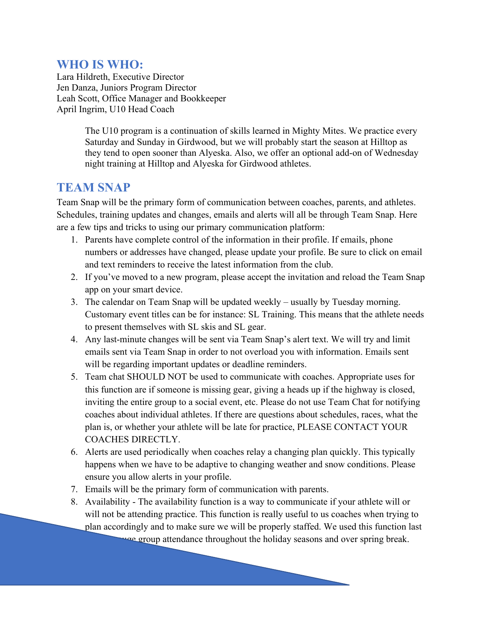### **WHO IS WHO:**

Lara Hildreth, Executive Director Jen Danza, Juniors Program Director Leah Scott, Office Manager and Bookkeeper April Ingrim, U10 Head Coach

> The U10 program is a continuation of skills learned in Mighty Mites. We practice every Saturday and Sunday in Girdwood, but we will probably start the season at Hilltop as they tend to open sooner than Alyeska. Also, we offer an optional add-on of Wednesday night training at Hilltop and Alyeska for Girdwood athletes.

#### **TEAM SNAP**

Team Snap will be the primary form of communication between coaches, parents, and athletes. Schedules, training updates and changes, emails and alerts will all be through Team Snap. Here are a few tips and tricks to using our primary communication platform:

- 1. Parents have complete control of the information in their profile. If emails, phone numbers or addresses have changed, please update your profile. Be sure to click on email and text reminders to receive the latest information from the club.
- 2. If you've moved to a new program, please accept the invitation and reload the Team Snap app on your smart device.
- 3. The calendar on Team Snap will be updated weekly usually by Tuesday morning. Customary event titles can be for instance: SL Training. This means that the athlete needs to present themselves with SL skis and SL gear.
- 4. Any last-minute changes will be sent via Team Snap's alert text. We will try and limit emails sent via Team Snap in order to not overload you with information. Emails sent will be regarding important updates or deadline reminders.
- 5. Team chat SHOULD NOT be used to communicate with coaches. Appropriate uses for this function are if someone is missing gear, giving a heads up if the highway is closed, inviting the entire group to a social event, etc. Please do not use Team Chat for notifying coaches about individual athletes. If there are questions about schedules, races, what the plan is, or whether your athlete will be late for practice, PLEASE CONTACT YOUR COACHES DIRECTLY.
- 6. Alerts are used periodically when coaches relay a changing plan quickly. This typically happens when we have to be adaptive to changing weather and snow conditions. Please ensure you allow alerts in your profile.
- 7. Emails will be the primary form of communication with parents.
- 8. Availability The availability function is a way to communicate if your athlete will or will not be attending practice. This function is really useful to us coaches when trying to plan accordingly and to make sure we will be properly staffed. We used this function last

we group attendance throughout the holiday seasons and over spring break.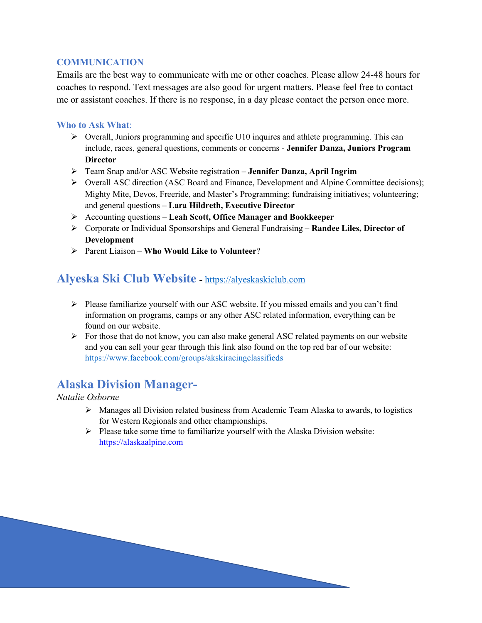#### **COMMUNICATION**

Emails are the best way to communicate with me or other coaches. Please allow 24-48 hours for coaches to respond. Text messages are also good for urgent matters. Please feel free to contact me or assistant coaches. If there is no response, in a day please contact the person once more.

#### **Who to Ask What**:

- $\triangleright$  Overall, Juniors programming and specific U10 inquires and athlete programming. This can include, races, general questions, comments or concerns - **Jennifer Danza, Juniors Program Director**
- Ø Team Snap and/or ASC Website registration **Jennifer Danza, April Ingrim**
- Ø Overall ASC direction (ASC Board and Finance, Development and Alpine Committee decisions); Mighty Mite, Devos, Freeride, and Master's Programming; fundraising initiatives; volunteering; and general questions – **Lara Hildreth, Executive Director**
- Ø Accounting questions **Leah Scott, Office Manager and Bookkeeper**
- Ø Corporate or Individual Sponsorships and General Fundraising **Randee Liles, Director of Development**
- Ø Parent Liaison **Who Would Like to Volunteer**?

#### **Alyeska Ski Club Website** *-* https://alyeskaskiclub.com

- $\triangleright$  Please familiarize yourself with our ASC website. If you missed emails and you can't find information on programs, camps or any other ASC related information, everything can be found on our website.
- $\triangleright$  For those that do not know, you can also make general ASC related payments on our website and you can sell your gear through this link also found on the top red bar of our website: https://www.facebook.com/groups/akskiracingclassifieds

### **Alaska Division Manager-**

*Natalie Osborne*

- $\triangleright$  Manages all Division related business from Academic Team Alaska to awards, to logistics for Western Regionals and other championships.
- $\triangleright$  Please take some time to familiarize yourself with the Alaska Division website: https://alaskaalpine.com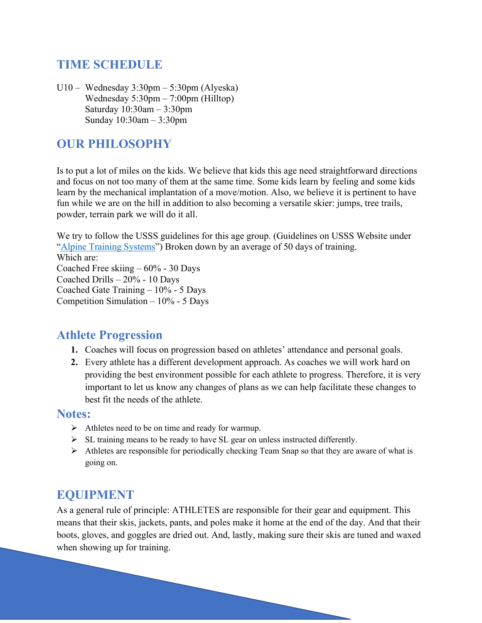# **TIME SCHEDULE**

U10 – Wednesday 3:30pm – 5:30pm (Alyeska) Wednesday 5:30pm – 7:00pm (Hilltop) Saturday 10:30am – 3:30pm Sunday 10:30am – 3:30pm

## **OUR PHILOSOPHY**

Is to put a lot of miles on the kids. We believe that kids this age need straightforward directions and focus on not too many of them at the same time. Some kids learn by feeling and some kids learn by the mechanical implantation of a move/motion. Also, we believe it is pertinent to have fun while we are on the hill in addition to also becoming a versatile skier: jumps, tree trails, powder, terrain park we will do it all.

We try to follow the USSS guidelines for this age group. (Guidelines on USSS Website under "Alpine Training Systems") Broken down by an average of 50 days of training. Which are: Coached Free skiing – 60% - 30 Days Coached Drills – 20% - 10 Days

Coached Gate Training – 10% - 5 Days Competition Simulation  $-10\%$  - 5 Days

### **Athlete Progression**

- **1.** Coaches will focus on progression based on athletes' attendance and personal goals.
- **2.** Every athlete has a different development approach. As coaches we will work hard on providing the best environment possible for each athlete to progress. Therefore, it is very important to let us know any changes of plans as we can help facilitate these changes to best fit the needs of the athlete.

#### **Notes:**

- $\triangleright$  Athletes need to be on time and ready for warmup.
- $\triangleright$  SL training means to be ready to have SL gear on unless instructed differently.
- $\triangleright$  Athletes are responsible for periodically checking Team Snap so that they are aware of what is going on.

### **EQUIPMENT**

As a general rule of principle: ATHLETES are responsible for their gear and equipment. This means that their skis, jackets, pants, and poles make it home at the end of the day. And that their boots, gloves, and goggles are dried out. And, lastly, making sure their skis are tuned and waxed when showing up for training.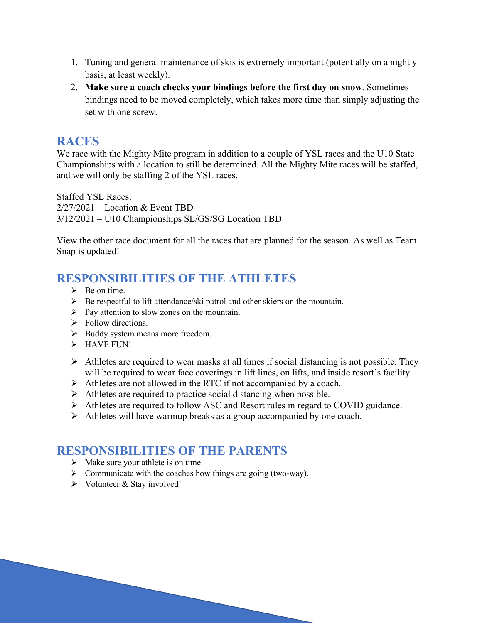- 1. Tuning and general maintenance of skis is extremely important (potentially on a nightly basis, at least weekly).
- 2. **Make sure a coach checks your bindings before the first day on snow**. Sometimes bindings need to be moved completely, which takes more time than simply adjusting the set with one screw.

# **RACES**

We race with the Mighty Mite program in addition to a couple of YSL races and the U10 State Championships with a location to still be determined. All the Mighty Mite races will be staffed, and we will only be staffing 2 of the YSL races.

Staffed YSL Races:  $2/27/2021$  – Location & Event TBD 3/12/2021 – U10 Championships SL/GS/SG Location TBD

View the other race document for all the races that are planned for the season. As well as Team Snap is updated!

# **RESPONSIBILITIES OF THE ATHLETES**

- $\triangleright$  Be on time.
- $\triangleright$  Be respectful to lift attendance/ski patrol and other skiers on the mountain.
- $\triangleright$  Pay attention to slow zones on the mountain.
- $\triangleright$  Follow directions.
- Ø Buddy system means more freedom.
- $\triangleright$  HAVE FUN!
- $\triangleright$  Athletes are required to wear masks at all times if social distancing is not possible. They will be required to wear face coverings in lift lines, on lifts, and inside resort's facility.
- $\triangleright$  Athletes are not allowed in the RTC if not accompanied by a coach.
- $\triangleright$  Athletes are required to practice social distancing when possible.
- Ø Athletes are required to follow ASC and Resort rules in regard to COVID guidance.
- $\triangleright$  Athletes will have warmup breaks as a group accompanied by one coach.

# **RESPONSIBILITIES OF THE PARENTS**

- $\triangleright$  Make sure your athlete is on time.
- $\triangleright$  Communicate with the coaches how things are going (two-way).
- $\triangleright$  Volunteer & Stay involved!